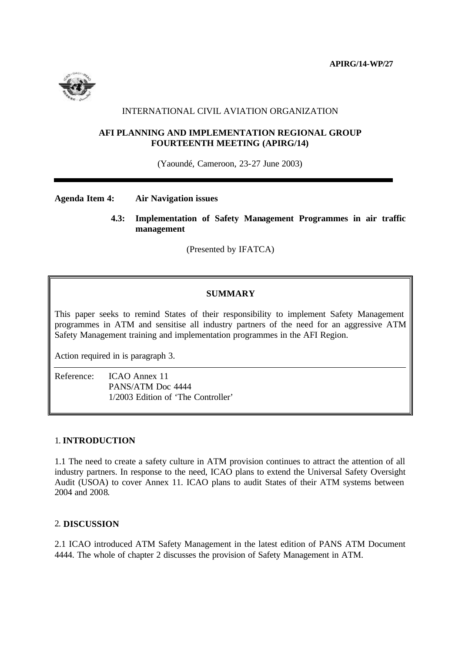

# INTERNATIONAL CIVIL AVIATION ORGANIZATION

## **AFI PLANNING AND IMPLEMENTATION REGIONAL GROUP FOURTEENTH MEETING (APIRG/14)**

(Yaoundé, Cameroon, 23-27 June 2003)

## **Agenda Item 4: Air Navigation issues**

 **4.3: Implementation of Safety Management Programmes in air traffic management**

(Presented by IFATCA)

## **SUMMARY**

This paper seeks to remind States of their responsibility to implement Safety Management programmes in ATM and sensitise all industry partners of the need for an aggressive ATM Safety Management training and implementation programmes in the AFI Region.

Action required in is paragraph 3.

Reference: ICAO Annex 11 PANS/ATM Doc 4444 1/2003 Edition of 'The Controller'

### 1. **INTRODUCTION**

1.1 The need to create a safety culture in ATM provision continues to attract the attention of all industry partners. In response to the need, ICAO plans to extend the Universal Safety Oversight Audit (USOA) to cover Annex 11. ICAO plans to audit States of their ATM systems between 2004 and 2008.

## 2. **DISCUSSION**

2.1 ICAO introduced ATM Safety Management in the latest edition of PANS ATM Document 4444. The whole of chapter 2 discusses the provision of Safety Management in ATM.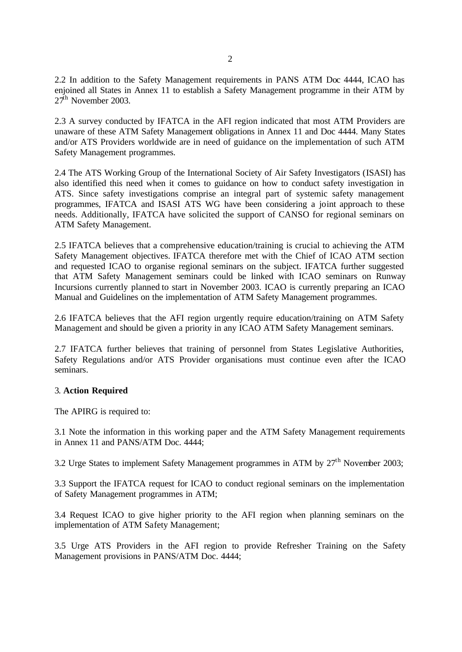2.2 In addition to the Safety Management requirements in PANS ATM Doc 4444, ICAO has enjoined all States in Annex 11 to establish a Safety Management programme in their ATM by  $27<sup>th</sup>$  November 2003.

2.3 A survey conducted by IFATCA in the AFI region indicated that most ATM Providers are unaware of these ATM Safety Management obligations in Annex 11 and Doc 4444. Many States and/or ATS Providers worldwide are in need of guidance on the implementation of such ATM Safety Management programmes.

2.4 The ATS Working Group of the International Society of Air Safety Investigators (ISASI) has also identified this need when it comes to guidance on how to conduct safety investigation in ATS. Since safety investigations comprise an integral part of systemic safety management programmes, IFATCA and ISASI ATS WG have been considering a joint approach to these needs. Additionally, IFATCA have solicited the support of CANSO for regional seminars on ATM Safety Management.

2.5 IFATCA believes that a comprehensive education/training is crucial to achieving the ATM Safety Management objectives. IFATCA therefore met with the Chief of ICAO ATM section and requested ICAO to organise regional seminars on the subject. IFATCA further suggested that ATM Safety Management seminars could be linked with ICAO seminars on Runway Incursions currently planned to start in November 2003. ICAO is currently preparing an ICAO Manual and Guidelines on the implementation of ATM Safety Management programmes.

2.6 IFATCA believes that the AFI region urgently require education/training on ATM Safety Management and should be given a priority in any ICAO ATM Safety Management seminars.

2.7 IFATCA further believes that training of personnel from States Legislative Authorities, Safety Regulations and/or ATS Provider organisations must continue even after the ICAO seminars.

#### 3. **Action Required**

The APIRG is required to:

3.1 Note the information in this working paper and the ATM Safety Management requirements in Annex 11 and PANS/ATM Doc. 4444;

3.2 Urge States to implement Safety Management programmes in ATM by  $27<sup>th</sup>$  November 2003:

3.3 Support the IFATCA request for ICAO to conduct regional seminars on the implementation of Safety Management programmes in ATM;

3.4 Request ICAO to give higher priority to the AFI region when planning seminars on the implementation of ATM Safety Management;

3.5 Urge ATS Providers in the AFI region to provide Refresher Training on the Safety Management provisions in PANS/ATM Doc. 4444;